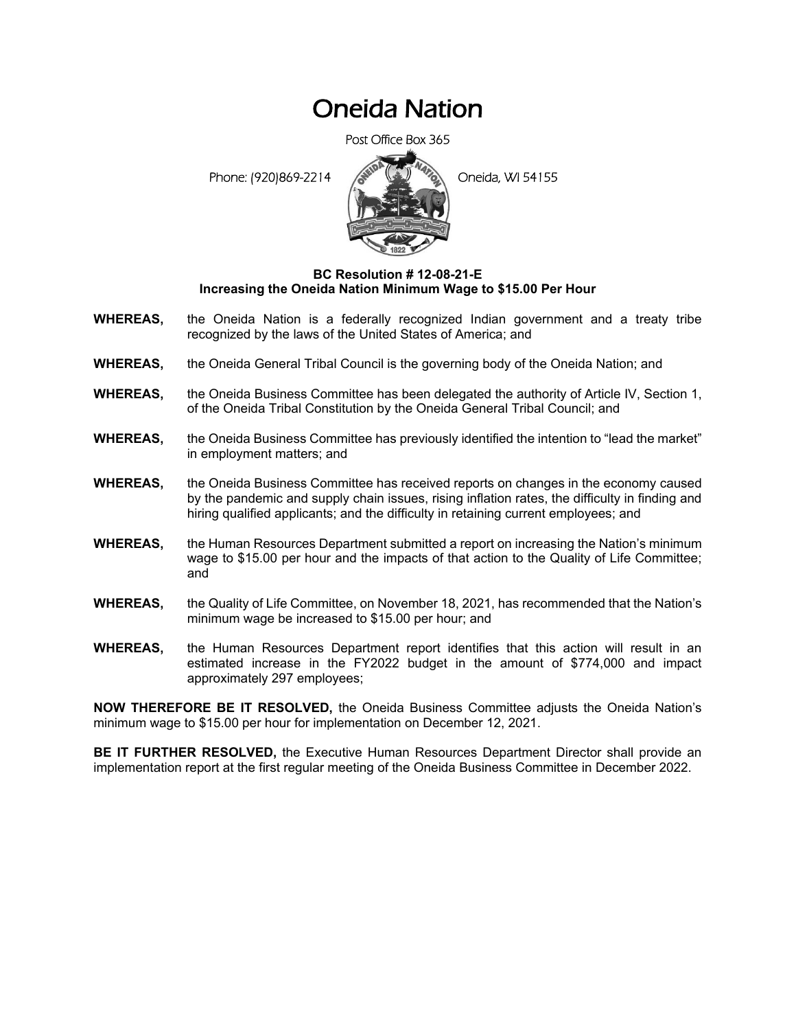## Oneida Nation

Post Office Box 365

Phone: (920)869-2214 **Coneta**, WI 54155



## **BC Resolution # 12-08-21-E Increasing the Oneida Nation Minimum Wage to \$15.00 Per Hour**

- **WHEREAS,** the Oneida Nation is a federally recognized Indian government and a treaty tribe recognized by the laws of the United States of America; and
- **WHEREAS,** the Oneida General Tribal Council is the governing body of the Oneida Nation; and
- **WHEREAS,** the Oneida Business Committee has been delegated the authority of Article IV, Section 1, of the Oneida Tribal Constitution by the Oneida General Tribal Council; and
- **WHEREAS,** the Oneida Business Committee has previously identified the intention to "lead the market" in employment matters; and
- **WHEREAS,** the Oneida Business Committee has received reports on changes in the economy caused by the pandemic and supply chain issues, rising inflation rates, the difficulty in finding and hiring qualified applicants; and the difficulty in retaining current employees; and
- **WHEREAS,** the Human Resources Department submitted a report on increasing the Nation's minimum wage to \$15.00 per hour and the impacts of that action to the Quality of Life Committee; and
- **WHEREAS,** the Quality of Life Committee, on November 18, 2021, has recommended that the Nation's minimum wage be increased to \$15.00 per hour; and
- **WHEREAS,** the Human Resources Department report identifies that this action will result in an estimated increase in the FY2022 budget in the amount of \$774,000 and impact approximately 297 employees;

**NOW THEREFORE BE IT RESOLVED,** the Oneida Business Committee adjusts the Oneida Nation's minimum wage to \$15.00 per hour for implementation on December 12, 2021.

**BE IT FURTHER RESOLVED,** the Executive Human Resources Department Director shall provide an implementation report at the first regular meeting of the Oneida Business Committee in December 2022.